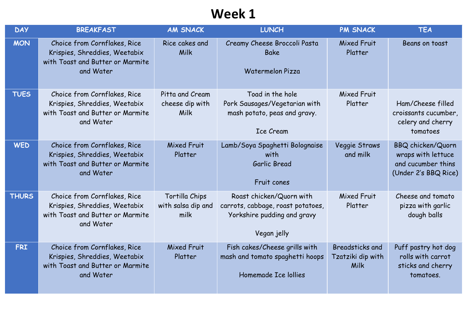| <b>DAY</b>   | <b>BREAKFAST</b>                                                                                               | <b>AM SNACK</b>                              | <b>LUNCH</b>                                                                                                | <b>PM SNACK</b>                                     | <b>TEA</b>                                                                                   |
|--------------|----------------------------------------------------------------------------------------------------------------|----------------------------------------------|-------------------------------------------------------------------------------------------------------------|-----------------------------------------------------|----------------------------------------------------------------------------------------------|
| <b>MON</b>   | Choice from Cornflakes, Rice<br>Krispies, Shreddies, Weetabix<br>with Toast and Butter or Marmite<br>and Water | Rice cakes and<br>Milk                       | Creamy Cheese Broccoli Pasta<br><b>Bake</b><br>Watermelon Pizza                                             | <b>Mixed Fruit</b><br>Platter                       | Beans on toast                                                                               |
| <b>TUES</b>  | Choice from Cornflakes, Rice<br>Krispies, Shreddies, Weetabix<br>with Toast and Butter or Marmite<br>and Water | Pitta and Cream<br>cheese dip with<br>Milk   | Toad in the hole<br>Pork Sausages/Vegetarian with<br>mash potato, peas and gravy.<br><b>Ice Cream</b>       | Mixed Fruit<br>Platter                              | Ham/Cheese filled<br>croissants cucumber,<br>celery and cherry<br>tomatoes                   |
| <b>WED</b>   | Choice from Cornflakes, Rice<br>Krispies, Shreddies, Weetabix<br>with Toast and Butter or Marmite<br>and Water | <b>Mixed Fruit</b><br>Platter                | Lamb/Soya Spaghetti Bolognaise<br>with<br>Garlic Bread<br>Fruit cones                                       | Veggie Straws<br>and milk                           | <b>BBQ chicken/Quorn</b><br>wraps with lettuce<br>and cucumber thins<br>(Under 2's BBQ Rice) |
| <b>THURS</b> | Choice from Cornflakes, Rice<br>Krispies, Shreddies, Weetabix<br>with Toast and Butter or Marmite<br>and Water | Tortilla Chips<br>with salsa dip and<br>milk | Roast chicken/Quorn with<br>carrots, cabbage, roast potatoes,<br>Yorkshire pudding and gravy<br>Vegan jelly | Mixed Fruit<br>Platter                              | Cheese and tomato<br>pizza with garlic<br>dough balls                                        |
| <b>FRI</b>   | Choice from Cornflakes, Rice<br>Krispies, Shreddies, Weetabix<br>with Toast and Butter or Marmite<br>and Water | <b>Mixed Fruit</b><br>Platter                | Fish cakes/Cheese grills with<br>mash and tomato spaghetti hoops<br>Homemade Ice lollies                    | <b>Breadsticks and</b><br>Tzatziki dip with<br>Milk | Puff pastry hot dog<br>rolls with carrot<br>sticks and cherry<br>tomatoes.                   |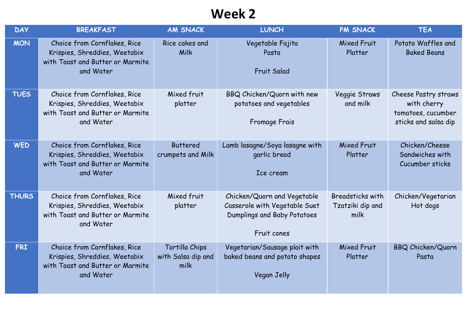| <b>DAY</b>   | <b>BREAKFAST</b>                                                                                               | <b>AM SNACK</b>                              | <b>LUNCH</b>                                                                                               | <b>PM SNACK</b>                              | <b>TEA</b>                                                                               |
|--------------|----------------------------------------------------------------------------------------------------------------|----------------------------------------------|------------------------------------------------------------------------------------------------------------|----------------------------------------------|------------------------------------------------------------------------------------------|
| <b>MON</b>   | Choice from Cornflakes, Rice<br>Krispies, Shreddies, Weetabix<br>with Toast and Butter or Marmite<br>and Water | Rice cakes and<br>Milk                       | Vegetable Fajita<br>Pasta<br><b>Fruit Salad</b>                                                            | Mixed Fruit<br>Platter                       | Potato Waffles and<br><b>Baked Beans</b>                                                 |
| <b>TUES</b>  | Choice from Cornflakes, Rice<br>Krispies, Shreddies, Weetabix<br>with Toast and Butter or Marmite<br>and Water | Mixed fruit<br>platter                       | BBQ Chicken/Quorn with new<br>potatoes and vegetables<br>Fromage Frais                                     | Veggie Straws<br>and milk                    | <b>Cheese Pastry straws</b><br>with cherry<br>tomatoes, cucumber<br>sticks and salsa dip |
| <b>WED</b>   | Choice from Cornflakes, Rice<br>Krispies, Shreddies, Weetabix<br>with Toast and Butter or Marmite<br>and Water | <b>Buttered</b><br>crumpets and Milk         | Lamb lasagne/Soya lasagne with<br>garlic bread<br>Ice cream                                                | Mixed Fruit<br>Platter                       | Chicken/Cheese<br>Sandwiches with<br>Cucumber sticks                                     |
| <b>THURS</b> | Choice from Cornflakes, Rice<br>Krispies, Shreddies, Weetabix<br>with Toast and Butter or Marmite<br>and Water | Mixed fruit<br>platter                       | Chicken/Quorn and Vegetable<br>Casserole with Vegetable Suet<br>Dumplings and Baby Potatoes<br>Fruit cones | Breadsticks with<br>Tzatziki dip and<br>milk | Chicken/Vegetarian<br>Hot dogs                                                           |
| <b>FRI</b>   | Choice from Cornflakes, Rice<br>Krispies, Shreddies, Weetabix<br>with Toast and Butter or Marmite<br>and Water | Tortilla Chips<br>with Salsa dip and<br>milk | Vegetarian/Sausage plait with<br>baked beans and potato shapes<br>Vegan Jelly                              | <b>Mixed Fruit</b><br>Platter                | <b>BBQ Chicken/Quorn</b><br>Pasta                                                        |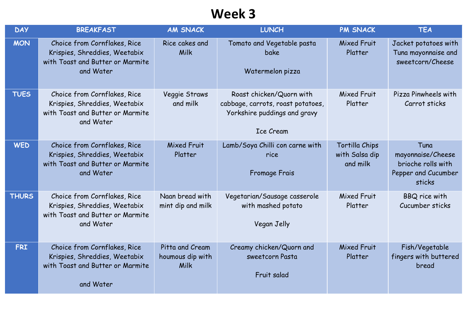| <b>DAY</b>   | <b>BREAKFAST</b>                                                                                               | <b>AM SNACK</b>                             | <b>LUNCH</b>                                                                                                      | <b>PM SNACK</b>                              | <b>TEA</b>                                                                       |
|--------------|----------------------------------------------------------------------------------------------------------------|---------------------------------------------|-------------------------------------------------------------------------------------------------------------------|----------------------------------------------|----------------------------------------------------------------------------------|
| <b>MON</b>   | Choice from Cornflakes, Rice<br>Krispies, Shreddies, Weetabix<br>with Toast and Butter or Marmite<br>and Water | Rice cakes and<br>Milk                      | Tomato and Vegetable pasta<br><b>bake</b><br>Watermelon pizza                                                     | Mixed Fruit<br>Platter                       | Jacket potatoes with<br>Tuna mayonnaise and<br>sweetcorn/Cheese                  |
| <b>TUES</b>  | Choice from Cornflakes, Rice<br>Krispies, Shreddies, Weetabix<br>with Toast and Butter or Marmite<br>and Water | Veggie Straws<br>and milk                   | Roast chicken/Quorn with<br>cabbage, carrots, roast potatoes,<br>Yorkshire puddings and gravy<br><b>Ice Cream</b> | Mixed Fruit<br>Platter                       | Pizza Pinwheels with<br>Carrot sticks                                            |
| <b>WED</b>   | Choice from Cornflakes, Rice<br>Krispies, Shreddies, Weetabix<br>with Toast and Butter or Marmite<br>and Water | <b>Mixed Fruit</b><br>Platter               | Lamb/Soya Chilli con carne with<br>rice<br><b>Fromage Frais</b>                                                   | Tortilla Chips<br>with Salsa dip<br>and milk | Tuna<br>mayonnaise/Cheese<br>brioche rolls with<br>Pepper and Cucumber<br>sticks |
| <b>THURS</b> | Choice from Cornflakes, Rice<br>Krispies, Shreddies, Weetabix<br>with Toast and Butter or Marmite<br>and Water | Naan bread with<br>mint dip and milk        | Vegetarian/Sausage casserole<br>with mashed potato<br>Vegan Jelly                                                 | Mixed Fruit<br>Platter                       | <b>BBQ</b> rice with<br>Cucumber sticks                                          |
| <b>FRI</b>   | Choice from Cornflakes, Rice<br>Krispies, Shreddies, Weetabix<br>with Toast and Butter or Marmite<br>and Water | Pitta and Cream<br>houmous dip with<br>Milk | Creamy chicken/Quorn and<br>sweetcorn Pasta<br>Fruit salad                                                        | Mixed Fruit<br>Platter                       | Fish/Vegetable<br>fingers with buttered<br>bread                                 |